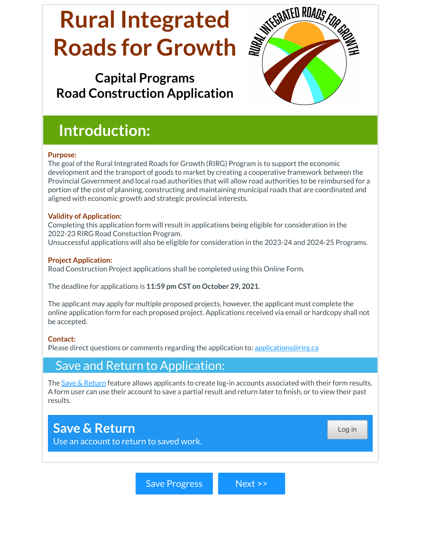# **Rural Integrated Roads for Growth**

# **Capital Programs Road Construction Application**



# **Introduction:**

#### **Purpose:**

The goal of the Rural Integrated Roads for Growth (RIRG) Program is to support the economic development and the transport of goods to market by creating a cooperative framework between the Provincial Government and local road authorities that will allow road authorities to be reimbursed for a portion of the cost of planning, constructing and maintaining municipal roads that are coordinated and aligned with economic growth and strategic provincial interests.

#### **Validity of Application:**

Completing this application form will result in applications being eligible for consideration in the 2022-23 RIRG Road Constuction Program. Unsuccessful applications will also be eligible for consideration in the 2023-24 and 2024-25 Programs.

#### **Project Application:**

Road Construction Project applications shall be completed using this Online Form.

The deadline for applications is **11:59 pm CST on October 29, 2021.**

The applicant may apply for multiple proposed projects, however, the applicant must complete the online application form for each proposed project. Applications received via email or hardcopy shall not be accepted.

#### **Contact:**

Please direct questions or comments regarding the application to: [applications@rirg.ca](mailto:applications@rirg.ca)

# Save and Return to Application:

The Save & [Return](https://support.formsite.com/hc/en-us/articles/360000270834-Save-Return) feature allows applicants to create log-in accounts associated with their form results. A form user can use their account to save a partial result and return later to finish, or to view their past results.

# **Save & Return**

Use an account to return to saved work.

Save Progress Next >>

Log in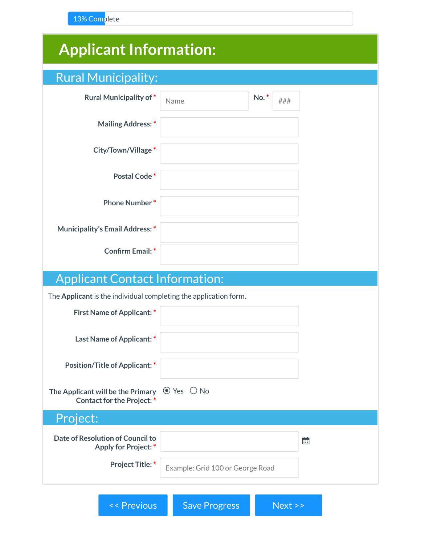13% Complete

| <b>Applicant Information:</b>                                                                              |                                  |     |     |
|------------------------------------------------------------------------------------------------------------|----------------------------------|-----|-----|
| <b>Rural Municipality:</b>                                                                                 |                                  |     |     |
| <b>Rural Municipality of*</b>                                                                              | Name                             | No. | ### |
| <b>Mailing Address:*</b>                                                                                   |                                  |     |     |
| City/Town/Village*                                                                                         |                                  |     |     |
| Postal Code*                                                                                               |                                  |     |     |
| <b>Phone Number*</b>                                                                                       |                                  |     |     |
| <b>Municipality's Email Address:</b> *                                                                     |                                  |     |     |
| <b>Confirm Email:*</b>                                                                                     |                                  |     |     |
|                                                                                                            |                                  |     |     |
| <b>Applicant Contact Information:</b><br>The Applicant is the individual completing the application form.  |                                  |     |     |
| <b>First Name of Applicant: *</b>                                                                          |                                  |     |     |
| Last Name of Applicant:*                                                                                   |                                  |     |     |
| Position/Title of Applicant: *                                                                             |                                  |     |     |
| The Applicant will be the Primary $\circledcirc$ Yes $\circledcirc$ No<br><b>Contact for the Project:*</b> |                                  |     |     |
| Project:                                                                                                   |                                  |     |     |
| Date of Resolution of Council to<br><b>Apply for Project:</b> *                                            |                                  |     | 夁   |
| <b>Project Title: *</b>                                                                                    | Example: Grid 100 or George Road |     |     |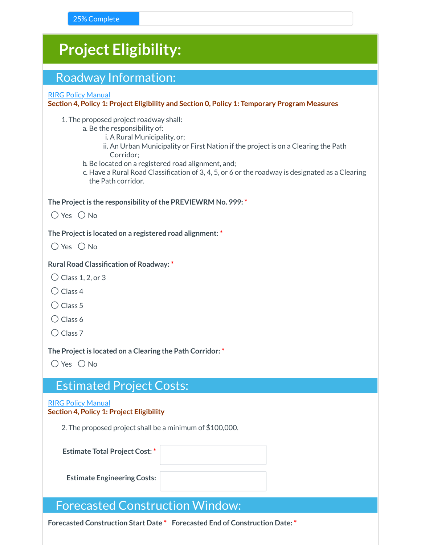| <b>Project Eligibility:</b>                                                                                                                                                                                                                                                                                                                                                              |
|------------------------------------------------------------------------------------------------------------------------------------------------------------------------------------------------------------------------------------------------------------------------------------------------------------------------------------------------------------------------------------------|
| <b>Roadway Information:</b>                                                                                                                                                                                                                                                                                                                                                              |
| <b>RIRG Policy Manual</b><br>Section 4, Policy 1: Project Eligibility and Section 0, Policy 1: Temporary Program Measures                                                                                                                                                                                                                                                                |
| 1. The proposed project roadway shall:<br>a. Be the responsibility of:<br>i. A Rural Municipality, or;<br>ii. An Urban Municipality or First Nation if the project is on a Clearing the Path<br>Corridor;<br>b. Be located on a registered road alignment, and;<br>c. Have a Rural Road Classification of 3, 4, 5, or 6 or the roadway is designated as a Clearing<br>the Path corridor. |
| The Project is the responsibility of the PREVIEWRM No. 999:*<br>$O$ Yes $O$ No                                                                                                                                                                                                                                                                                                           |
| The Project is located on a registered road alignment: *<br>$O$ Yes $O$ No                                                                                                                                                                                                                                                                                                               |
| <b>Rural Road Classification of Roadway: *</b><br>$\bigcirc$ Class 1, 2, or 3<br>$\bigcirc$ Class 4<br>$\bigcirc$ Class 5<br>$\bigcirc$ Class 6<br>$\bigcirc$ Class 7                                                                                                                                                                                                                    |
| The Project is located on a Clearing the Path Corridor: *<br>$\bigcirc$ Yes $\bigcirc$ No                                                                                                                                                                                                                                                                                                |
| <b>Estimated Project Costs:</b>                                                                                                                                                                                                                                                                                                                                                          |
| <b>RIRG Policy Manual</b><br><b>Section 4, Policy 1: Project Eligibility</b>                                                                                                                                                                                                                                                                                                             |
| 2. The proposed project shall be a minimum of \$100,000.                                                                                                                                                                                                                                                                                                                                 |
| <b>Estimate Total Project Cost:*</b>                                                                                                                                                                                                                                                                                                                                                     |
| <b>Estimate Engineering Costs:</b>                                                                                                                                                                                                                                                                                                                                                       |
| <b>Forecasted Construction Window:</b>                                                                                                                                                                                                                                                                                                                                                   |

**Forecasted Construction Start Date \* Forecasted End of Construction Date: \***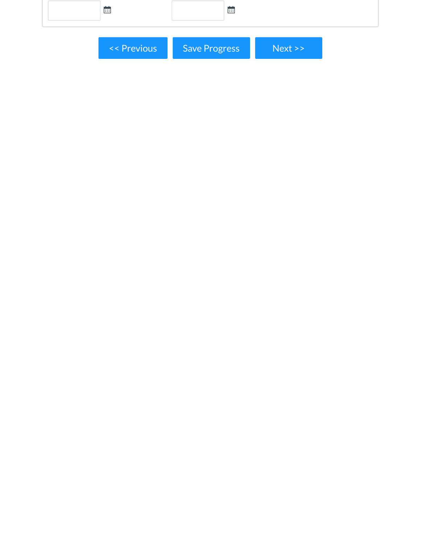| 繭           | 蔮             |      |  |
|-------------|---------------|------|--|
| << Previous | Save Progress | Next |  |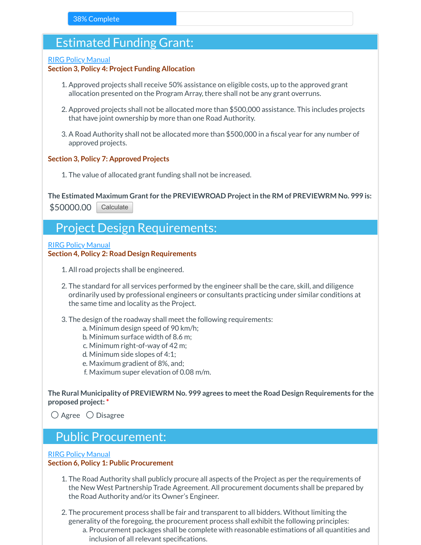# Estimated Funding Grant:

#### RIRG Policy [Manual](https://sarm.ca/pub/departments/programs/RIRG/rural-integrated-roads-for-growth-policy-manual.pdf)

#### **Section 3, Policy 4: Project Funding Allocation**

- 1. Approved projects shall receive 50% assistance on eligible costs, up to the approved grant allocation presented on the Program Array, there shall not be any grant overruns.
- 2. Approved projects shall not be allocated more than \$500,000 assistance. This includes projects that have joint ownership by more than one Road Authority.
- 3. A Road Authority shall not be allocated more than \$500,000 in a fiscal year for any number of approved projects.

#### **Section 3, Policy 7: Approved Projects**

1. The value of allocated grant funding shall not be increased.

**The Estimated Maximum Grantfor the PREVIEWROAD Projectin the RM of PREVIEWRM No. 999 is:** \$50000.00 **Calculate** 

# Project Design Requirements:

#### RIRG Policy [Manual](https://sarm.ca/pub/departments/programs/RIRG/rural-integrated-roads-for-growth-policy-manual.pdf)

#### **Section 4, Policy 2: Road Design Requirements**

- 1. All road projects shall be engineered.
- 2. The standard for all services performed by the engineer shall be the care, skill, and diligence ordinarily used by professional engineers or consultants practicing under similar conditions at the same time and locality as the Project.
- 3. The design of the roadway shall meet the following requirements:
	- a. Minimum design speed of 90 km/h;
	- b. Minimum surface width of 8.6 m;
	- c. Minimum right-of-way of 42 m;
	- d. Minimum side slopes of 4:1;
	- e. Maximum gradient of 8%, and;
	- f. Maximum super elevation of 0.08 m/m.

**The Rural Municipality of PREVIEWRM No. 999 agrees to meetthe Road Design Requirements for the proposed project: \***

 $\bigcirc$  Agree  $\bigcirc$  Disagree

### Public Procurement:

#### RIRG Policy [Manual](https://sarm.ca/pub/departments/programs/RIRG/rural-integrated-roads-for-growth-policy-manual.pdf)

#### **Section 6, Policy 1: Public Procurement**

- 1. The Road Authority shall publicly procure all aspects of the Project as per the requirements of the New West Partnership Trade Agreement. All procurement documents shall be prepared by the Road Authority and/or its Owner's Engineer.
- 2. The procurement process shall be fair and transparent to all bidders. Without limiting the generality of the foregoing, the procurement process shall exhibit the following principles:
	- a. Procurement packages shall be complete with reasonable estimations of all quantities and inclusion of all relevant specifications.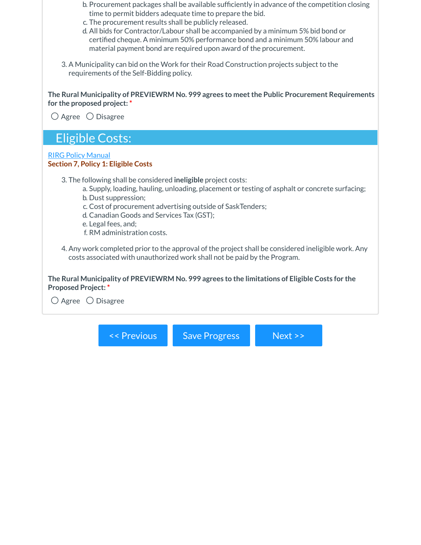- b. Procurement packages shall be available sufficiently in advance of the competition closing time to permit bidders adequate time to prepare the bid.
- c. The procurement results shall be publicly released.
- d. All bids for Contractor/Labour shall be accompanied by a minimum 5% bid bond or certified cheque. A minimum 50% performance bond and a minimum 50% labour and material payment bond are required upon award of the procurement.
- 3. A Municipality can bid on the Work for their Road Construction projects subject to the requirements of the Self-Bidding policy.

**The Rural Municipality of PREVIEWRM No. 999 agrees to meetthe Public Procurement Requirements for the proposed project: \***

 $\bigcirc$  Agree  $\bigcirc$  Disagree

## Eligible Costs:

#### RIRG Policy [Manual](https://sarm.ca/pub/departments/programs/RIRG/rural-integrated-roads-for-growth-policy-manual.pdf) **Section 7, Policy 1: Eligible Costs**

- 3. The following shall be considered **ineligible** project costs:
	- a. Supply, loading, hauling, unloading, placement or testing of asphalt or concrete surfacing; b. Dust suppression;
	- c. Cost of procurement advertising outside of SaskTenders;
	- d. Canadian Goods and Services Tax (GST);
	- e. Legal fees, and;
	- f. RM administration costs.
- 4. Any work completed prior to the approval of the project shall be considered ineligible work. Any costs associated with unauthorized work shall not be paid by the Program.

**The Rural Municipality of PREVIEWRM No. 999 agrees to the limitations of Eligible Costs for the Proposed Project: \***

 $\bigcirc$  Agree  $\bigcirc$  Disagree

<< Previous Save Progress Next >>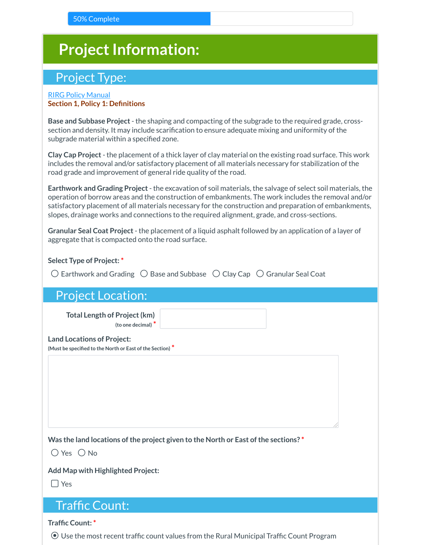# **Project Information:**

# Project Type:

#### RIRG Policy [Manual](https://sarm.ca/pub/departments/programs/RIRG/rural-integrated-roads-for-growth-policy-manual.pdf) **Section 1, Policy 1: Definitions**

**Base and Subbase Project**- the shaping and compacting of the subgrade to the required grade, crosssection and density. It may include scarification to ensure adequate mixing and uniformity of the subgrade material within a specified zone.

**Clay Cap Project**- the placement of a thick layer of clay material on the existing road surface. This work includes the removal and/or satisfactory placement of all materials necessary for stabilization of the road grade and improvement of general ride quality of the road.

**Earthwork and Grading Project**- the excavation of soil materials, the salvage of select soil materials, the operation of borrow areas and the construction of embankments. The work includes the removal and/or satisfactory placement of all materials necessary for the construction and preparation of embankments, slopes, drainage works and connections to the required alignment, grade, and cross-sections.

**Granular Seal Coat Project**- the placement of a liquid asphalt followed by an application of a layer of aggregate that is compacted onto the road surface.

**Select Type of Project: \***

 $\bigcirc$  Earthwork and Grading  $\bigcirc$  Base and Subbase  $\bigcirc$  Clay Cap  $\bigcirc$  Granular Seal Coat

| <b>Project Location:</b> |
|--------------------------|
|--------------------------|

**Total Length of Project(km) (to one decimal) \***

**Land Locations of Project:**

**(Must be specified to the North or East ofthe Section) \***

**Was the land locations ofthe project given to the North or East ofthe sections? \***

 $\bigcirc$  Yes  $\bigcirc$  No

**Add Map with Highlighted Project:**

☐ Yes

### Traffic Count:

**Traffic Count: \***

⚫ Use the most recent traffic count values from the Rural Municipal Traffic Count Program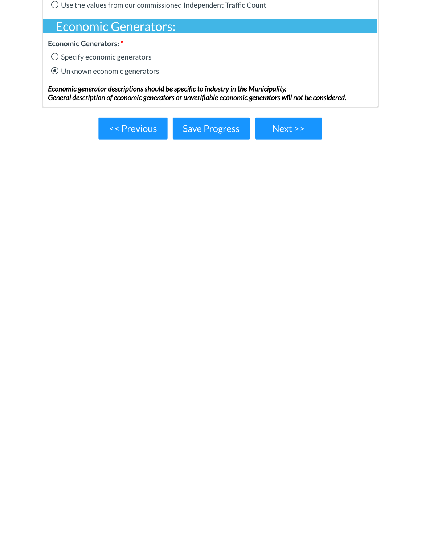⚪ Use the values from our commissioned Independent Traffic Count

# Economic Generators:

**Economic Generators: \***

 $\bigcirc$  Specify economic generators

⚫ Unknown economic generators

*Economic generator descriptionsshould be specific to industry in the Municipality. General description of economic generators or unverifiable economic generators will not be considered.*

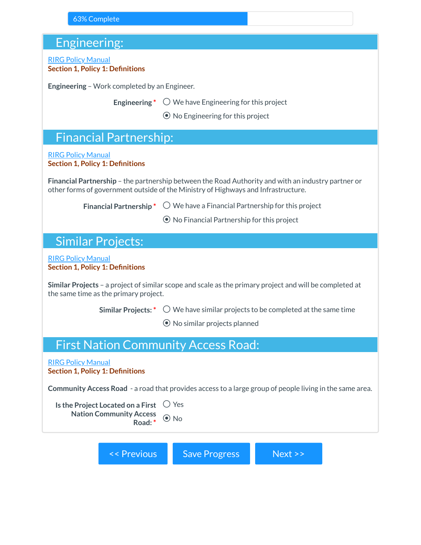# Engineering:

| Engineering:                                                                  |                                                                                                                                                                                         |  |  |
|-------------------------------------------------------------------------------|-----------------------------------------------------------------------------------------------------------------------------------------------------------------------------------------|--|--|
| <b>RIRG Policy Manual</b><br><b>Section 1, Policy 1: Definitions</b>          |                                                                                                                                                                                         |  |  |
| Engineering - Work completed by an Engineer.                                  |                                                                                                                                                                                         |  |  |
| Engineering*                                                                  | $\bigcirc$ We have Engineering for this project                                                                                                                                         |  |  |
|                                                                               | $\odot$ No Engineering for this project                                                                                                                                                 |  |  |
| <b>Financial Partnership:</b>                                                 |                                                                                                                                                                                         |  |  |
| <b>RIRG Policy Manual</b><br><b>Section 1, Policy 1: Definitions</b>          |                                                                                                                                                                                         |  |  |
|                                                                               | Financial Partnership - the partnership between the Road Authority and with an industry partner or<br>other forms of government outside of the Ministry of Highways and Infrastructure. |  |  |
|                                                                               | <b>Financial Partnership</b> $\bullet$ $\circ$ We have a Financial Partnership for this project                                                                                         |  |  |
|                                                                               | $\odot$ No Financial Partnership for this project                                                                                                                                       |  |  |
| <b>Similar Projects:</b>                                                      |                                                                                                                                                                                         |  |  |
| <b>RIRG Policy Manual</b><br><b>Section 1, Policy 1: Definitions</b>          |                                                                                                                                                                                         |  |  |
| the same time as the primary project.                                         | Similar Projects - a project of similar scope and scale as the primary project and will be completed at                                                                                 |  |  |
| <b>Similar Projects: *</b>                                                    | $\bigcirc$ We have similar projects to be completed at the same time                                                                                                                    |  |  |
|                                                                               | $\odot$ No similar projects planned                                                                                                                                                     |  |  |
| <b>First Nation Community Access Road:</b>                                    |                                                                                                                                                                                         |  |  |
| <b>RIRG Policy Manual</b><br><b>Section 1, Policy 1: Definitions</b>          |                                                                                                                                                                                         |  |  |
|                                                                               | Community Access Road - a road that provides access to a large group of people living in the same area.                                                                                 |  |  |
| Is the Project Located on a First<br><b>Nation Community Access</b><br>Road:* | $\bigcirc$ Yes<br>$\odot$ No                                                                                                                                                            |  |  |
| << Previous                                                                   | <b>Save Progress</b><br>Next >>                                                                                                                                                         |  |  |